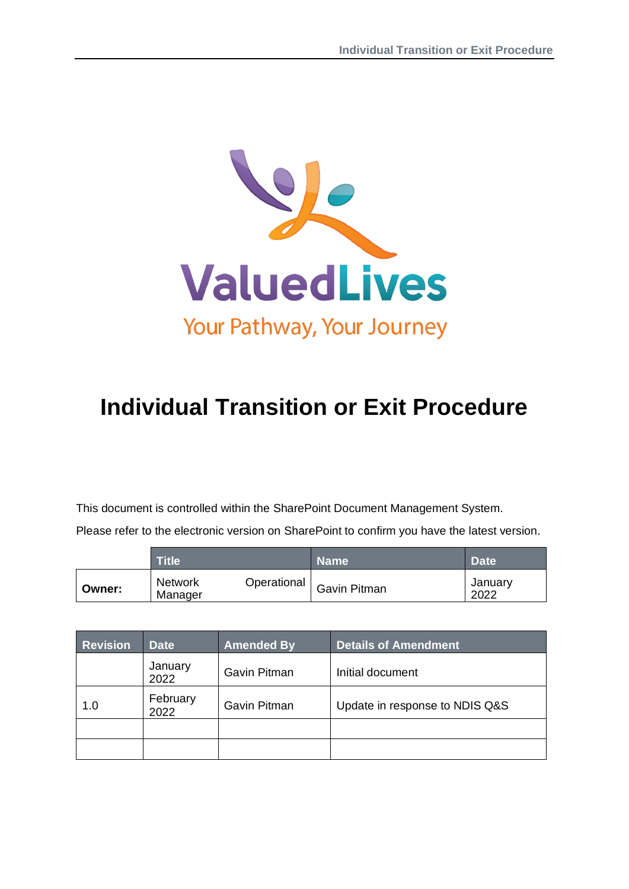

# **Individual Transition or Exit Procedure**

This document is controlled within the SharePoint Document Management System.

Please refer to the electronic version on SharePoint to confirm you have the latest version.

|        | $\mathsf{T}\mathsf{itle}$ : | <b>Name</b>                | <b>Date</b>     |
|--------|-----------------------------|----------------------------|-----------------|
| Owner: | <b>Network</b><br>Manager   | Operational   Gavin Pitman | January<br>2022 |

| <b>Revision</b> | <b>Date</b>      | <b>Amended By</b> | <b>Details of Amendment</b>    |
|-----------------|------------------|-------------------|--------------------------------|
|                 | January<br>2022  | Gavin Pitman      | Initial document               |
| 1.0             | February<br>2022 | Gavin Pitman      | Update in response to NDIS Q&S |
|                 |                  |                   |                                |
|                 |                  |                   |                                |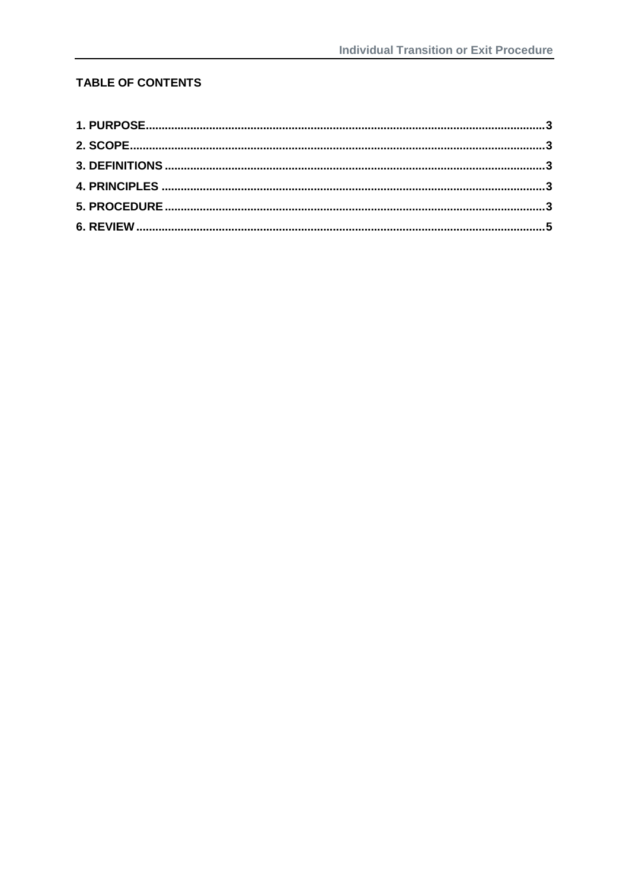## **TABLE OF CONTENTS**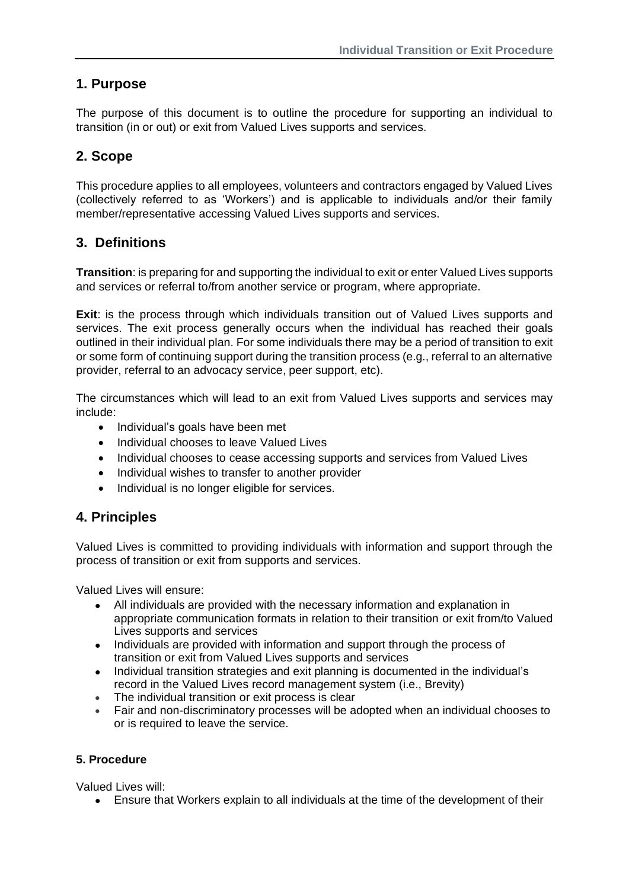# <span id="page-2-0"></span>**1. Purpose**

The purpose of this document is to outline the procedure for supporting an individual to transition (in or out) or exit from Valued Lives supports and services.

# <span id="page-2-1"></span>**2. Scope**

This procedure applies to all employees, volunteers and contractors engaged by Valued Lives (collectively referred to as 'Workers') and is applicable to individuals and/or their family member/representative accessing Valued Lives supports and services.

## <span id="page-2-2"></span>**3. Definitions**

**Transition**: is preparing for and supporting the individual to exit or enter Valued Lives supports and services or referral to/from another service or program, where appropriate.

**Exit**: is the process through which individuals transition out of Valued Lives supports and services. The exit process generally occurs when the individual has reached their goals outlined in their individual plan. For some individuals there may be a period of transition to exit or some form of continuing support during the transition process (e.g., referral to an alternative provider, referral to an advocacy service, peer support, etc).

The circumstances which will lead to an exit from Valued Lives supports and services may include:

- Individual's goals have been met
- Individual chooses to leave Valued Lives
- Individual chooses to cease accessing supports and services from Valued Lives
- Individual wishes to transfer to another provider
- Individual is no longer eligible for services.

## <span id="page-2-3"></span>**4. Principles**

Valued Lives is committed to providing individuals with information and support through the process of transition or exit from supports and services.

Valued Lives will ensure:

- All individuals are provided with the necessary information and explanation in appropriate communication formats in relation to their transition or exit from/to Valued Lives supports and services
- Individuals are provided with information and support through the process of transition or exit from Valued Lives supports and services
- Individual transition strategies and exit planning is documented in the individual's record in the Valued Lives record management system (i.e., Brevity)
- The individual transition or exit process is clear
- Fair and non-discriminatory processes will be adopted when an individual chooses to or is required to leave the service.

### <span id="page-2-4"></span>**5. Procedure**

Valued Lives will:

• Ensure that Workers explain to all individuals at the time of the development of their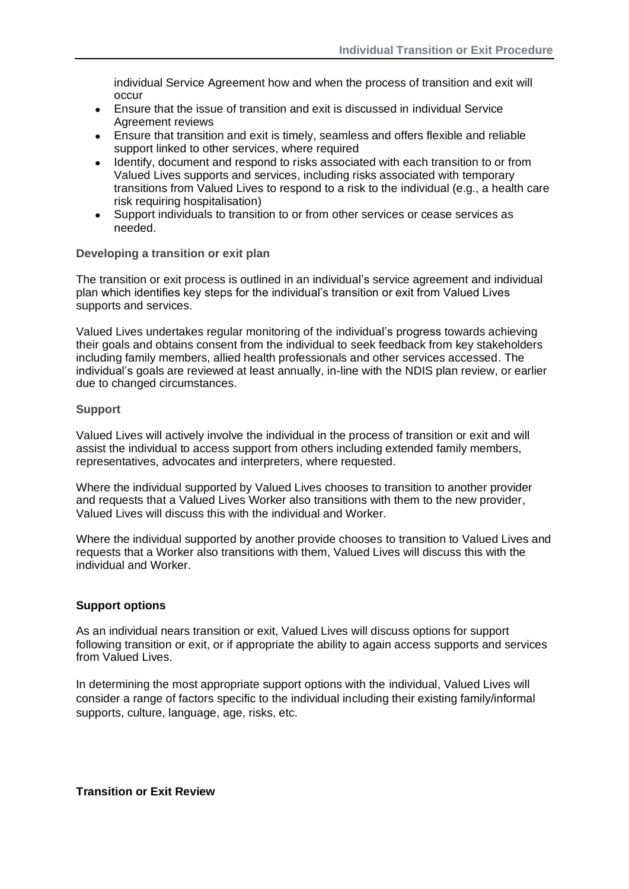individual Service Agreement how and when the process of transition and exit will occur

- Ensure that the issue of transition and exit is discussed in individual Service Agreement reviews
- Ensure that transition and exit is timely, seamless and offers flexible and reliable support linked to other services, where required
- Identify, document and respond to risks associated with each transition to or from Valued Lives supports and services, including risks associated with temporary transitions from Valued Lives to respond to a risk to the individual (e.g., a health care risk requiring hospitalisation)
- Support individuals to transition to or from other services or cease services as needed.

#### **Developing a transition or exit plan**

The transition or exit process is outlined in an individual's service agreement and individual plan which identifies key steps for the individual's transition or exit from Valued Lives supports and services.

Valued Lives undertakes regular monitoring of the individual's progress towards achieving their goals and obtains consent from the individual to seek feedback from key stakeholders including family members, allied health professionals and other services accessed. The individual's goals are reviewed at least annually, in-line with the NDIS plan review, or earlier due to changed circumstances.

#### **Support**

Valued Lives will actively involve the individual in the process of transition or exit and will assist the individual to access support from others including extended family members, representatives, advocates and interpreters, where requested.

Where the individual supported by Valued Lives chooses to transition to another provider and requests that a Valued Lives Worker also transitions with them to the new provider, Valued Lives will discuss this with the individual and Worker.

Where the individual supported by another provide chooses to transition to Valued Lives and requests that a Worker also transitions with them, Valued Lives will discuss this with the individual and Worker.

#### **Support options**

As an individual nears transition or exit, Valued Lives will discuss options for support following transition or exit, or if appropriate the ability to again access supports and services from Valued Lives.

In determining the most appropriate support options with the individual, Valued Lives will consider a range of factors specific to the individual including their existing family/informal supports, culture, language, age, risks, etc.